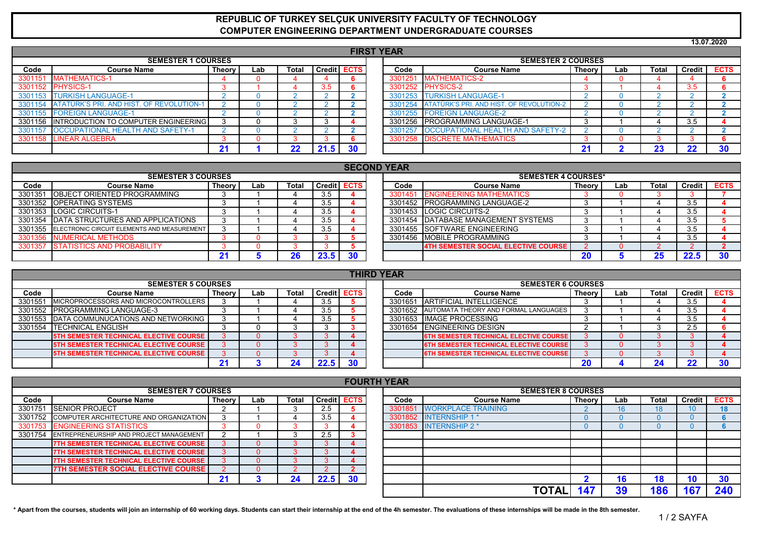## **REPUBLIC OF TURKEY SELÇUK UNIVERSITY FACULTY OF TECHNOLOGY COMPUTER ENGINEERING DEPARTMENT UNDERGRADUATE COURSES**

|         |                                          |      |                    |               |     |                           |                                          |             |  |          |           | 13.07.2020 |  |  |  |
|---------|------------------------------------------|------|--------------------|---------------|-----|---------------------------|------------------------------------------|-------------|--|----------|-----------|------------|--|--|--|
|         |                                          |      |                    |               |     | <b>FIRST YEAR</b>         |                                          |             |  |          |           |            |  |  |  |
|         | <b>SEMESTER 1 COURSES</b>                |      |                    |               |     | <b>SEMESTER 2 COURSES</b> |                                          |             |  |          |           |            |  |  |  |
| Code    | <b>Course Name</b>                       | Code | <b>Course Name</b> | <b>Theory</b> | Lab | <b>Total</b>              | <b>Credit</b>                            | <b>ECTS</b> |  |          |           |            |  |  |  |
| 3301151 | <b>MATHEMATICS-1</b>                     |      |                    |               |     | 3301251                   | <b>MATHEMATICS-2</b>                     |             |  |          |           |            |  |  |  |
|         | 3301152 PHYSICS-1                        |      |                    | 3.5           |     | 3301252                   | <b>PHYSICS-2</b>                         |             |  |          | 3.5       |            |  |  |  |
| 3301153 | <b>TURKISH LANGUAGE-1</b>                |      |                    |               |     | 3301253                   | <b>TURKISH LANGUAGE-1</b>                |             |  |          |           |            |  |  |  |
| 3301154 | ATATÜRK'S PRI. AND HIST. OF REVOLUTION-1 |      |                    |               |     | 3301254                   | ATATÜRK'S PRI. AND HIST. OF REVOLUTION-2 |             |  |          |           |            |  |  |  |
| 3301155 | <b>FOREIGN LANGUAGE-1</b>                |      |                    |               |     | 3301255                   | <b>FOREIGN LANGUAGE-2</b>                |             |  |          |           |            |  |  |  |
| 3301156 | INTRODUCTION TO COMPUTER ENGINEERING     |      |                    |               |     | 3301256                   | <b>PROGRAMMING LANGUAGE-1</b>            |             |  |          | 3.5       |            |  |  |  |
| 3301157 | <b>OCCUPATIONAL HEALTH AND SAFETY-1</b>  |      |                    |               |     | 3301257                   | <b>OCCUPATIONAL HEALTH AND SAFETY-2</b>  |             |  |          |           |            |  |  |  |
|         | 3301158 LINEAR ALGEBRA                   |      |                    |               |     | 3301258                   | <b>DISCRETE MATHEMATICS</b>              |             |  |          |           |            |  |  |  |
|         |                                          | 21   | 22                 | 21.5          | 30  |                           |                                          | -4          |  | クマ<br>ZΟ | າາ<br>ZZ. | 30         |  |  |  |

|                                                                              | <b>SECOND YEAR</b>                                  |    |  |    |      |    |  |         |                                            |        |     |              |      |                    |  |  |
|------------------------------------------------------------------------------|-----------------------------------------------------|----|--|----|------|----|--|---------|--------------------------------------------|--------|-----|--------------|------|--------------------|--|--|
|                                                                              | <b>SEMESTER 3 COURSES</b>                           |    |  |    |      |    |  |         | <b>SEMESTER 4 COURSES*</b>                 |        |     |              |      |                    |  |  |
| <b>Credit ECTS</b><br>Code<br>Total<br>Theory I<br><b>Course Name</b><br>Lab |                                                     |    |  |    |      |    |  | Code    | <b>Course Name</b>                         | Theory | Lab | <b>Total</b> |      | Credit <b>ECTS</b> |  |  |
|                                                                              | 3301351 <b>IOBJECT ORIENTED PROGRAMMING</b>         |    |  |    | 3.5  |    |  | 3301451 | <b>ENGINEERING MATHEMATICS</b>             |        |     |              |      |                    |  |  |
|                                                                              | 3301352 OPERATING SYSTEMS                           |    |  |    | 3.5  |    |  | 3301452 | <b>IPROGRAMMING LANGUAGE-2</b>             |        |     |              | 3.5  |                    |  |  |
|                                                                              | 3301353 LOGIC CIRCUITS-1                            |    |  |    | 3.5  |    |  |         | 3301453 LOGIC CIRCUITS-2                   |        |     |              | 3.5  |                    |  |  |
|                                                                              | 3301354 DATA STRUCTURES AND APPLICATIONS            |    |  |    | 3.5  |    |  | 3301454 | <b>IDATABASE MANAGEMENT SYSTEMS</b>        |        |     |              | 3.5  |                    |  |  |
|                                                                              | 3301355 ELECTRONIC CIRCUIT ELEMENTS AND MEASUREMENT |    |  |    | 3.5  |    |  |         | 3301455 SOFTWARE ENGINEERING               |        |     |              | 3.5  |                    |  |  |
| 3301356                                                                      | <b>NUMERICAL METHODS</b>                            |    |  |    |      |    |  | 3301456 | <b>IMOBILE PROGRAMMING</b>                 |        |     |              | 3.5  |                    |  |  |
|                                                                              | 3301357 STATISTICS AND PROBABILITY                  |    |  |    |      |    |  |         | <b>4TH SEMESTER SOCIAL ELECTIVE COURSE</b> |        |     |              |      |                    |  |  |
|                                                                              |                                                     | 21 |  | ንድ | 23.5 | 30 |  |         |                                            |        |     | 25           | 22.5 |                    |  |  |

|         | <b>THIRD YEAR</b>                             |        |     |       |                    |  |  |      |                                               |               |     |       |          |             |  |
|---------|-----------------------------------------------|--------|-----|-------|--------------------|--|--|------|-----------------------------------------------|---------------|-----|-------|----------|-------------|--|
|         | <b>SEMESTER 5 COURSES</b>                     |        |     |       |                    |  |  |      | <b>SEMESTER 6 COURSES</b>                     |               |     |       |          |             |  |
| Code    | <b>Course Name</b>                            | Theory | Lab | Total | <b>Credit ECTS</b> |  |  | Code | <b>Course Name</b>                            | <b>Theory</b> | Lab | Total | Credit I | <b>ECTS</b> |  |
| 3301551 | MICROPROCESSORS AND MICROCONTROLLERS          |        |     |       | 3.5                |  |  |      | 3301651 ARTIFICIAL INTELLIGENCE               |               |     |       | 3.5      |             |  |
|         | 3301552 PROGRAMMING LANGUAGE-3                |        |     |       | 3.5                |  |  |      | 3301652 AUTOMATA THEORY AND FORMAL LANGUAGES  |               |     |       | 3.5      |             |  |
|         | 3301553 DATA COMMUNUCATIONS AND NETWORKING    |        |     |       | 3.5                |  |  |      | 3301653 IIMAGE PROCESSING                     |               |     |       | 3.5      |             |  |
|         | 3301554 <b>ITECHNICAL ENGLISH</b>             |        |     |       |                    |  |  |      | 3301654 ENGINEERING DESIGN                    |               |     |       | 2.5      |             |  |
|         | <b>5TH SEMESTER TECHNICAL ELECTIVE COURSE</b> |        |     |       |                    |  |  |      | <b>6TH SEMESTER TECHNICAL ELECTIVE COURSE</b> |               |     |       |          |             |  |
|         | <b>5TH SEMESTER TECHNICAL ELECTIVE COURSE</b> |        |     |       |                    |  |  |      | <b>6TH SEMESTER TECHNICAL ELECTIVE COURSE</b> |               |     |       |          |             |  |
|         | <b>5TH SEMESTER TECHNICAL ELECTIVE COURSE</b> |        |     |       |                    |  |  |      | <b>6TH SEMESTER TECHNICAL ELECTIVE COURSE</b> |               |     |       |          |             |  |
|         |                                               |        |     |       |                    |  |  |      |                                               |               |     |       |          |             |  |

|         | <b>FOURTH YEAR</b>                              |        |     |       |      |                    |  |         |                           |               |     |              |        |             |  |
|---------|-------------------------------------------------|--------|-----|-------|------|--------------------|--|---------|---------------------------|---------------|-----|--------------|--------|-------------|--|
|         | <b>SEMESTER 7 COURSES</b>                       |        |     |       |      |                    |  |         | <b>SEMESTER 8 COURSES</b> |               |     |              |        |             |  |
| Code    | <b>Course Name</b>                              | Theory | Lab | Total |      | <b>Credit ECTS</b> |  | Code    | <b>Course Name</b>        | <b>Theory</b> | Lab | <b>Total</b> | Credit | <b>ECTS</b> |  |
|         | 3301751 SENIOR PROJECT                          |        |     |       | 2.5  |                    |  | 3301851 | <b>WORKPLACE TRAINING</b> |               | 16. |              | 10     | 18          |  |
|         | 3301752 COMPUTER ARCHITECTURE AND ORGANIZATION  |        |     |       | 3.5  |                    |  | 3301852 | <b>INTERNSHIP 1</b>       |               |     |              |        |             |  |
| 3301753 | <b>ENGINEERING STATISTICS</b>                   |        |     |       |      |                    |  |         | 3301853 INTERNSHIP 2 *    |               |     |              |        |             |  |
|         | 3301754 ENTREPRENEURSHIP AND PROJECT MANAGEMENT |        |     |       | 2.5  |                    |  |         |                           |               |     |              |        |             |  |
|         | 7TH SEMESTER TECHNICAL ELECTIVE COURSE          |        |     |       |      |                    |  |         |                           |               |     |              |        |             |  |
|         | <b>7TH SEMESTER TECHNICAL ELECTIVE COURSE</b>   |        |     |       |      |                    |  |         |                           |               |     |              |        |             |  |
|         | <b>7TH SEMESTER TECHNICAL ELECTIVE COURSE</b>   |        |     |       |      |                    |  |         |                           |               |     |              |        |             |  |
|         | <b>7TH SEMESTER SOCIAL ELECTIVE COURSE</b>      |        |     |       |      |                    |  |         |                           |               |     |              |        |             |  |
|         |                                                 |        |     | 24    | 22.5 | 30                 |  |         |                           |               |     | 18           | 10     | 30          |  |
|         |                                                 |        |     |       |      |                    |  |         | ΤΟΤΑΙ                     |               | 39  | 186          | $16-$  | 240         |  |

**\* Apart from the courses, students will join an internship of 60 working days. Students can start their internship at the end of the 4h semester. The evaluations of these internships will be made in the 8th semester.**